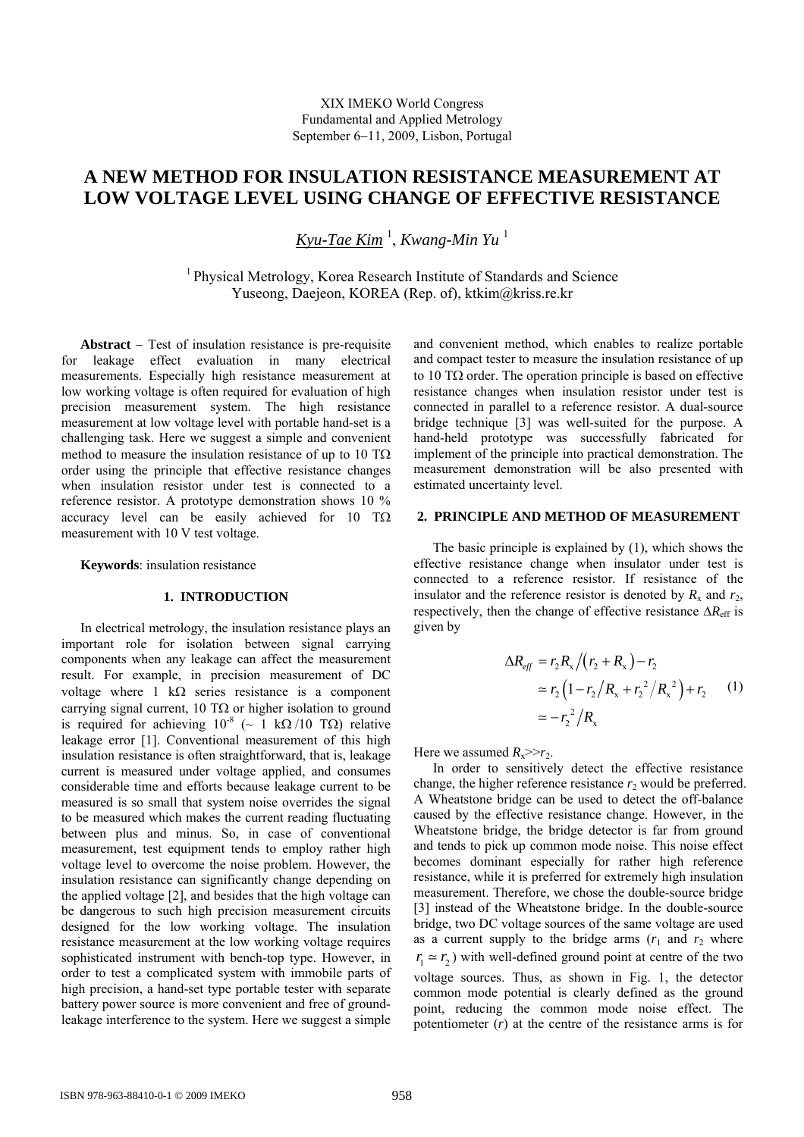# **A NEW METHOD FOR INSULATION RESISTANCE MEASUREMENT AT LOW VOLTAGE LEVEL USING CHANGE OF EFFECTIVE RESISTANCE**

*Kyu-Tae Kim* <sup>1</sup> , *Kwang-Min Yu* <sup>1</sup>

<sup>1</sup> Physical Metrology, Korea Research Institute of Standards and Science Yuseong, Daejeon, KOREA (Rep. of), ktkim@kriss.re.kr

**Abstract** − Test of insulation resistance is pre-requisite for leakage effect evaluation in many electrical measurements. Especially high resistance measurement at low working voltage is often required for evaluation of high precision measurement system. The high resistance measurement at low voltage level with portable hand-set is a challenging task. Here we suggest a simple and convenient method to measure the insulation resistance of up to 10  $T\Omega$ order using the principle that effective resistance changes when insulation resistor under test is connected to a reference resistor. A prototype demonstration shows 10 % accuracy level can be easily achieved for 10 TΩ measurement with 10 V test voltage.

**Keywords**: insulation resistance

#### **1. INTRODUCTION**

In electrical metrology, the insulation resistance plays an important role for isolation between signal carrying components when any leakage can affect the measurement result. For example, in precision measurement of DC voltage where 1 kΩ series resistance is a component carrying signal current, 10 T $\Omega$  or higher isolation to ground is required for achieving  $10^{-8}$  (~ 1 kΩ /10 TΩ) relative leakage error [1]. Conventional measurement of this high insulation resistance is often straightforward, that is, leakage current is measured under voltage applied, and consumes considerable time and efforts because leakage current to be measured is so small that system noise overrides the signal to be measured which makes the current reading fluctuating between plus and minus. So, in case of conventional measurement, test equipment tends to employ rather high voltage level to overcome the noise problem. However, the insulation resistance can significantly change depending on the applied voltage [2], and besides that the high voltage can be dangerous to such high precision measurement circuits designed for the low working voltage. The insulation resistance measurement at the low working voltage requires sophisticated instrument with bench-top type. However, in order to test a complicated system with immobile parts of high precision, a hand-set type portable tester with separate battery power source is more convenient and free of groundleakage interference to the system. Here we suggest a simple and convenient method, which enables to realize portable and compact tester to measure the insulation resistance of up to 10 TΩ order. The operation principle is based on effective resistance changes when insulation resistor under test is connected in parallel to a reference resistor. A dual-source bridge technique [3] was well-suited for the purpose. A hand-held prototype was successfully fabricated for implement of the principle into practical demonstration. The measurement demonstration will be also presented with estimated uncertainty level.

### **2. PRINCIPLE AND METHOD OF MEASUREMENT**

The basic principle is explained by (1), which shows the effective resistance change when insulator under test is connected to a reference resistor. If resistance of the insulator and the reference resistor is denoted by  $R_x$  and  $r_2$ , respectively, then the change of effective resistance ∆*R*eff is given by

$$
\Delta R_{eff} = r_2 R_x / (r_2 + R_x) - r_2
$$
  
\n
$$
\approx r_2 (1 - r_2 / R_x + r_2^2 / R_x^2) + r_2
$$
 (1)  
\n
$$
\approx -r_2^2 / R_x
$$

Here we assumed  $R_x$ >> $r_2$ .

In order to sensitively detect the effective resistance change, the higher reference resistance  $r_2$  would be preferred. A Wheatstone bridge can be used to detect the off-balance caused by the effective resistance change. However, in the Wheatstone bridge, the bridge detector is far from ground and tends to pick up common mode noise. This noise effect becomes dominant especially for rather high reference resistance, while it is preferred for extremely high insulation measurement. Therefore, we chose the double-source bridge [3] instead of the Wheatstone bridge. In the double-source bridge, two DC voltage sources of the same voltage are used as a current supply to the bridge arms  $(r_1$  and  $r_2$  where  $r_1 \approx r_2$ ) with well-defined ground point at centre of the two voltage sources. Thus, as shown in Fig. 1, the detector

common mode potential is clearly defined as the ground point, reducing the common mode noise effect. The potentiometer (*r*) at the centre of the resistance arms is for